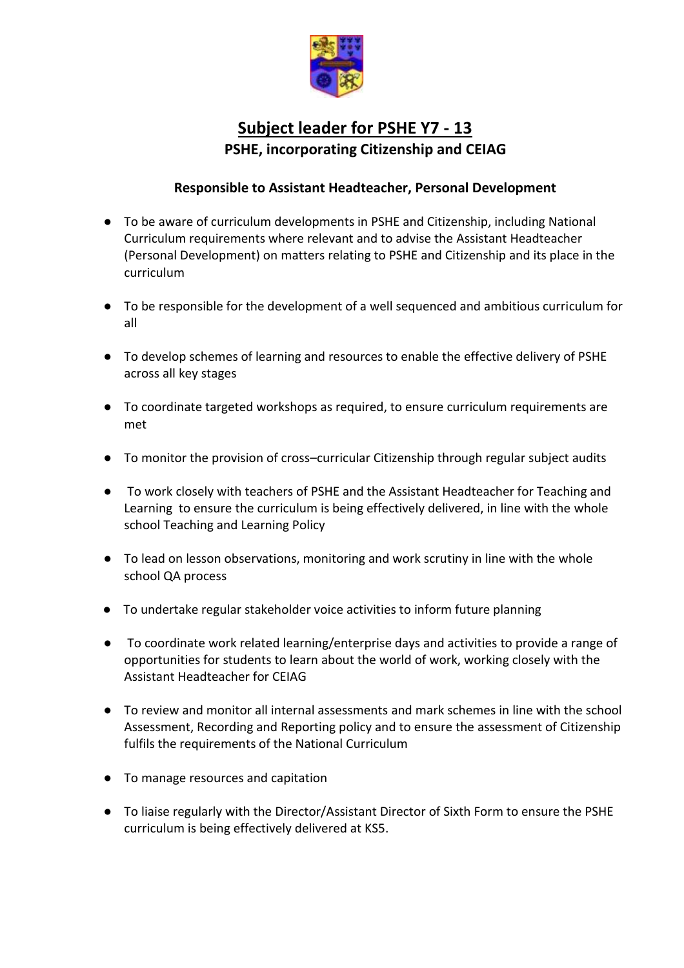

## **Subject leader for PSHE Y7 - 13 PSHE, incorporating Citizenship and CEIAG**

## **Responsible to Assistant Headteacher, Personal Development**

- To be aware of curriculum developments in PSHE and Citizenship, including National Curriculum requirements where relevant and to advise the Assistant Headteacher (Personal Development) on matters relating to PSHE and Citizenship and its place in the curriculum
- To be responsible for the development of a well sequenced and ambitious curriculum for all
- To develop schemes of learning and resources to enable the effective delivery of PSHE across all key stages
- To coordinate targeted workshops as required, to ensure curriculum requirements are met
- To monitor the provision of cross–curricular Citizenship through regular subject audits
- To work closely with teachers of PSHE and the Assistant Headteacher for Teaching and Learning to ensure the curriculum is being effectively delivered, in line with the whole school Teaching and Learning Policy
- To lead on lesson observations, monitoring and work scrutiny in line with the whole school QA process
- To undertake regular stakeholder voice activities to inform future planning
- To coordinate work related learning/enterprise days and activities to provide a range of opportunities for students to learn about the world of work, working closely with the Assistant Headteacher for CEIAG
- To review and monitor all internal assessments and mark schemes in line with the school Assessment, Recording and Reporting policy and to ensure the assessment of Citizenship fulfils the requirements of the National Curriculum
- To manage resources and capitation
- To liaise regularly with the Director/Assistant Director of Sixth Form to ensure the PSHE curriculum is being effectively delivered at KS5.